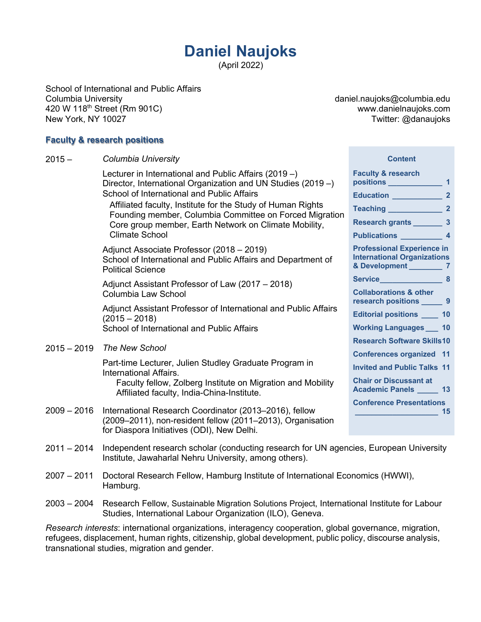# **Daniel Naujoks**

(April 2022)

School of International and Public Affairs Columbia University 420 W 118th Street (Rm 901C) New York, NY 10027

daniel.naujoks@columbia.edu www.danielnaujoks.com Twitter: @danaujoks

#### **Faculty & research positions**

| $2015 -$      | Columbia University                                                                                                                                                | <b>Content</b>                                                                             |    |
|---------------|--------------------------------------------------------------------------------------------------------------------------------------------------------------------|--------------------------------------------------------------------------------------------|----|
|               | Lecturer in International and Public Affairs (2019 -)<br>Director, International Organization and UN Studies (2019 -)                                              | <b>Faculty &amp; research</b><br>positions 1                                               |    |
|               | School of International and Public Affairs                                                                                                                         | Education 2                                                                                |    |
|               | Affiliated faculty, Institute for the Study of Human Rights<br>Founding member, Columbia Committee on Forced Migration                                             | Teaching 2                                                                                 |    |
|               | Core group member, Earth Network on Climate Mobility,                                                                                                              | Research grants __________ 3                                                               |    |
|               | <b>Climate School</b>                                                                                                                                              | Publications 4                                                                             |    |
|               | Adjunct Associate Professor (2018 - 2019)<br>School of International and Public Affairs and Department of<br><b>Political Science</b>                              | <b>Professional Experience in</b><br><b>International Organizations</b><br>& Development 7 |    |
|               | Adjunct Assistant Professor of Law (2017 – 2018)                                                                                                                   |                                                                                            |    |
|               | Columbia Law School                                                                                                                                                | <b>Collaborations &amp; other</b><br>research positions ________ 9                         |    |
|               | Adjunct Assistant Professor of International and Public Affairs<br>$(2015 - 2018)$                                                                                 | <b>Editorial positions 10</b>                                                              |    |
|               | School of International and Public Affairs                                                                                                                         | <b>Working Languages 10</b>                                                                |    |
| $2015 - 2019$ | <b>The New School</b><br>Part-time Lecturer, Julien Studley Graduate Program in<br>International Affairs.                                                          | <b>Research Software Skills10</b>                                                          |    |
|               |                                                                                                                                                                    | <b>Conferences organized 11</b>                                                            |    |
|               |                                                                                                                                                                    | <b>Invited and Public Talks 11</b>                                                         |    |
|               | Faculty fellow, Zolberg Institute on Migration and Mobility<br>Affiliated faculty, India-China-Institute.                                                          | <b>Chair or Discussant at</b><br>Academic Panels ______ 13                                 |    |
|               |                                                                                                                                                                    | <b>Conference Presentations</b>                                                            |    |
| $2009 - 2016$ | International Research Coordinator (2013-2016), fellow<br>(2009–2011), non-resident fellow (2011–2013), Organisation<br>for Diaspora Initiatives (ODI), New Delhi. |                                                                                            | 15 |
| $2011 - 2014$ | Independent research scholar (conducting research for UN agencies, European University<br>Institute, Jawaharlal Nehru University, among others).                   |                                                                                            |    |
| 0.027 0.11    | <b>DECIPIE: IF ILLERATION CONTROLLERATION CONTROLLERATION CONTROLLERATION CONTROLLERATION CONTROLLERATION</b>                                                      |                                                                                            |    |

- 2007 2011 Doctoral Research Fellow, Hamburg Institute of International Economics (HWWI), Hamburg.
- 2003 2004 Research Fellow, Sustainable Migration Solutions Project, International Institute for Labour Studies, International Labour Organization (ILO), Geneva.

*Research interests*: international organizations, interagency cooperation, global governance, migration, refugees, displacement, human rights, citizenship, global development, public policy, discourse analysis, transnational studies, migration and gender.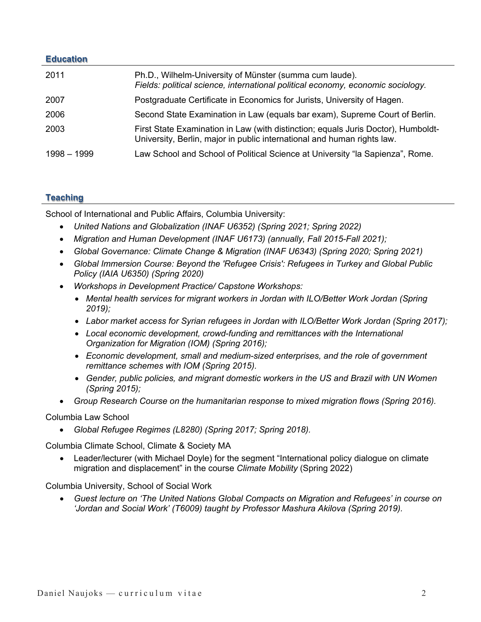# **Education**

| 2011          | Ph.D., Wilhelm-University of Münster (summa cum laude).<br>Fields: political science, international political economy, economic sociology.                   |
|---------------|--------------------------------------------------------------------------------------------------------------------------------------------------------------|
| 2007          | Postgraduate Certificate in Economics for Jurists, University of Hagen.                                                                                      |
| 2006          | Second State Examination in Law (equals bar exam), Supreme Court of Berlin.                                                                                  |
| 2003          | First State Examination in Law (with distinction; equals Juris Doctor), Humboldt-<br>University, Berlin, major in public international and human rights law. |
| $1998 - 1999$ | Law School and School of Political Science at University "la Sapienza", Rome.                                                                                |

# **Teaching**

School of International and Public Affairs, Columbia University:

- *United Nations and Globalization (INAF U6352) (Spring 2021; Spring 2022)*
- *Migration and Human Development (INAF U6173) (annually, Fall 2015-Fall 2021);*
- *Global Governance: Climate Change & Migration (INAF U6343) (Spring 2020; Spring 2021)*
- *Global Immersion Course: Beyond the 'Refugee Crisis': Refugees in Turkey and Global Public Policy (IAIA U6350) (Spring 2020)*
- *Workshops in Development Practice/ Capstone Workshops:*
	- *Mental health services for migrant workers in Jordan with ILO/Better Work Jordan (Spring 2019);*
	- *Labor market access for Syrian refugees in Jordan with ILO/Better Work Jordan (Spring 2017);*
	- *Local economic development, crowd-funding and remittances with the International Organization for Migration (IOM) (Spring 2016);*
	- *Economic development, small and medium-sized enterprises, and the role of government remittance schemes with IOM (Spring 2015).*
	- *Gender, public policies, and migrant domestic workers in the US and Brazil with UN Women (Spring 2015);*
- *Group Research Course on the humanitarian response to mixed migration flows (Spring 2016).*

#### Columbia Law School

• *Global Refugee Regimes (L8280) (Spring 2017; Spring 2018).*

Columbia Climate School, Climate & Society MA

• Leader/lecturer (with Michael Doyle) for the segment "International policy dialogue on climate migration and displacement" in the course *Climate Mobility* (Spring 2022)

Columbia University, School of Social Work

• *Guest lecture on 'The United Nations Global Compacts on Migration and Refugees' in course on 'Jordan and Social Work' (T6009) taught by Professor Mashura Akilova (Spring 2019).*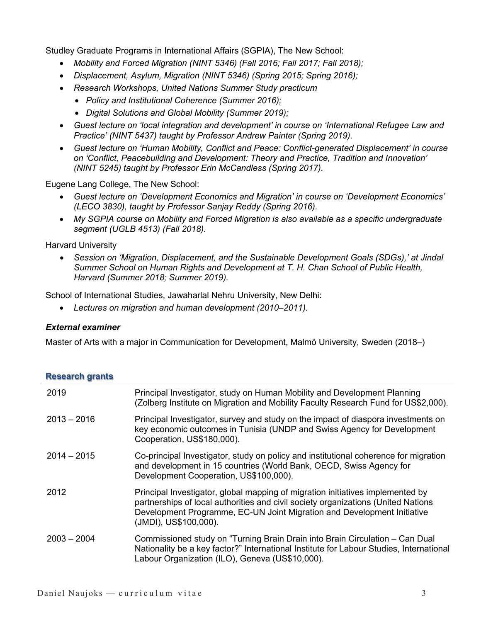Studley Graduate Programs in International Affairs (SGPIA), The New School:

- *Mobility and Forced Migration (NINT 5346) (Fall 2016; Fall 2017; Fall 2018);*
- *Displacement, Asylum, Migration (NINT 5346) (Spring 2015; Spring 2016);*
- *Research Workshops, United Nations Summer Study practicum*
	- *Policy and Institutional Coherence (Summer 2016);*
	- *Digital Solutions and Global Mobility (Summer 2019);*
- *Guest lecture on 'local integration and development' in course on 'International Refugee Law and Practice' (NINT 5437) taught by Professor Andrew Painter (Spring 2019).*
- *Guest lecture on 'Human Mobility, Conflict and Peace: Conflict-generated Displacement' in course on 'Conflict, Peacebuilding and Development: Theory and Practice, Tradition and Innovation' (NINT 5245) taught by Professor Erin McCandless (Spring 2017).*

Eugene Lang College, The New School:

- *Guest lecture on 'Development Economics and Migration' in course on 'Development Economics' (LECO 3830), taught by Professor Sanjay Reddy (Spring 2016).*
- *My SGPIA course on Mobility and Forced Migration is also available as a specific undergraduate segment (UGLB 4513) (Fall 2018).*

Harvard University

• *Session on 'Migration, Displacement, and the Sustainable Development Goals (SDGs),' at Jindal Summer School on Human Rights and Development at T. H. Chan School of Public Health, Harvard (Summer 2018; Summer 2019).*

School of International Studies, Jawaharlal Nehru University, New Delhi:

• *Lectures on migration and human development (2010–2011).*

#### *External examiner*

Master of Arts with a major in Communication for Development, Malmö University, Sweden (2018–)

| <b>Research grants</b> |                                                                                                                                                                                                                                                                         |
|------------------------|-------------------------------------------------------------------------------------------------------------------------------------------------------------------------------------------------------------------------------------------------------------------------|
| 2019                   | Principal Investigator, study on Human Mobility and Development Planning<br>(Zolberg Institute on Migration and Mobility Faculty Research Fund for US\$2,000).                                                                                                          |
| $2013 - 2016$          | Principal Investigator, survey and study on the impact of diaspora investments on<br>key economic outcomes in Tunisia (UNDP and Swiss Agency for Development<br>Cooperation, US\$180,000).                                                                              |
| $2014 - 2015$          | Co-principal Investigator, study on policy and institutional coherence for migration<br>and development in 15 countries (World Bank, OECD, Swiss Agency for<br>Development Cooperation, US\$100,000).                                                                   |
| 2012                   | Principal Investigator, global mapping of migration initiatives implemented by<br>partnerships of local authorities and civil society organizations (United Nations<br>Development Programme, EC-UN Joint Migration and Development Initiative<br>(JMDI), US\$100,000). |
| $2003 - 2004$          | Commissioned study on "Turning Brain Drain into Brain Circulation – Can Dual<br>Nationality be a key factor?" International Institute for Labour Studies, International<br>Labour Organization (ILO), Geneva (US\$10,000).                                              |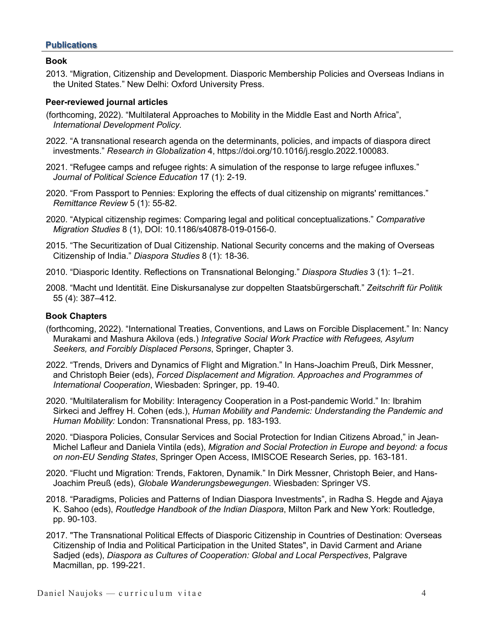#### **Publications**

#### **Book**

2013. "Migration, Citizenship and Development. Diasporic Membership Policies and Overseas Indians in the United States." New Delhi: Oxford University Press.

#### **Peer-reviewed journal articles**

- (forthcoming, 2022). "Multilateral Approaches to Mobility in the Middle East and North Africa", *International Development Policy.*
- 2022. "A transnational research agenda on the determinants, policies, and impacts of diaspora direct investments." *Research in Globalization* 4, https://doi.org/10.1016/j.resglo.2022.100083.
- 2021. "Refugee camps and refugee rights: A simulation of the response to large refugee influxes." *Journal of Political Science Education* 17 (1): 2-19.
- 2020. "From Passport to Pennies: Exploring the effects of dual citizenship on migrants' remittances." *Remittance Review* 5 (1): 55-82.
- 2020. "Atypical citizenship regimes: Comparing legal and political conceptualizations." *Comparative Migration Studies* 8 (1), DOI: 10.1186/s40878-019-0156-0.
- 2015. "The Securitization of Dual Citizenship. National Security concerns and the making of Overseas Citizenship of India." *Diaspora Studies* 8 (1): 18-36.
- 2010. "Diasporic Identity. Reflections on Transnational Belonging." *Diaspora Studies* 3 (1): 1–21.
- 2008. "Macht und Identität. Eine Diskursanalyse zur doppelten Staatsbürgerschaft." *Zeitschrift für Politik* 55 (4): 387–412.

#### **Book Chapters**

- (forthcoming, 2022). "International Treaties, Conventions, and Laws on Forcible Displacement." In: Nancy Murakami and Mashura Akilova (eds.) *Integrative Social Work Practice with Refugees, Asylum Seekers, and Forcibly Displaced Persons*, Springer, Chapter 3.
- 2022. "Trends, Drivers and Dynamics of Flight and Migration." In Hans-Joachim Preuß, Dirk Messner, and Christoph Beier (eds), *Forced Displacement and Migration. Approaches and Programmes of International Cooperation*, Wiesbaden: Springer, pp. 19-40.
- 2020. "Multilateralism for Mobility: Interagency Cooperation in a Post-pandemic World." In: Ibrahim Sirkeci and Jeffrey H. Cohen (eds.), *Human Mobility and Pandemic: Understanding the Pandemic and Human Mobility:* London: Transnational Press, pp. 183-193.
- 2020. "Diaspora Policies, Consular Services and Social Protection for Indian Citizens Abroad," in Jean-Michel Lafleur and Daniela Vintila (eds), *Migration and Social Protection in Europe and beyond: a focus on non-EU Sending States*, Springer Open Access, IMISCOE Research Series, pp. 163-181.
- 2020. "Flucht und Migration: Trends, Faktoren, Dynamik." In Dirk Messner, Christoph Beier, and Hans-Joachim Preuß (eds), *Globale Wanderungsbewegungen*. Wiesbaden: Springer VS.
- 2018. "Paradigms, Policies and Patterns of Indian Diaspora Investments", in Radha S. Hegde and Ajaya K. Sahoo (eds), *Routledge Handbook of the Indian Diaspora*, Milton Park and New York: Routledge, pp. 90-103.
- 2017. "The Transnational Political Effects of Diasporic Citizenship in Countries of Destination: Overseas Citizenship of India and Political Participation in the United States", in David Carment and Ariane Sadjed (eds), *Diaspora as Cultures of Cooperation: Global and Local Perspectives*, Palgrave Macmillan, pp. 199-221.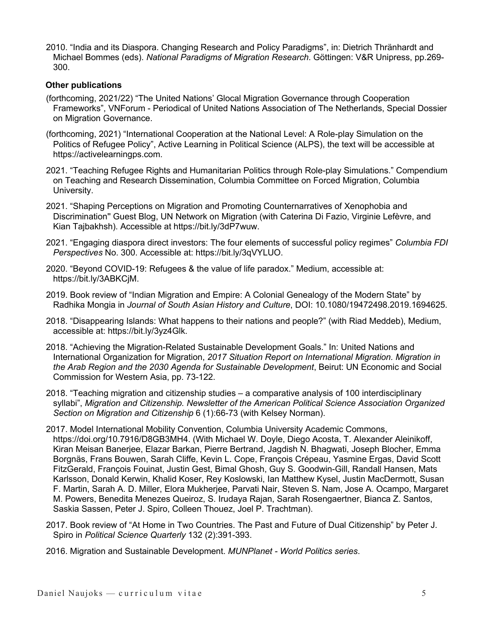2010. "India and its Diaspora. Changing Research and Policy Paradigms", in: Dietrich Thränhardt and Michael Bommes (eds). *National Paradigms of Migration Research*. Göttingen: V&R Unipress, pp.269- 300.

#### **Other publications**

- (forthcoming, 2021/22) "The United Nations' Glocal Migration Governance through Cooperation Frameworks", VNForum - Periodical of United Nations Association of The Netherlands, Special Dossier on Migration Governance.
- (forthcoming, 2021) "International Cooperation at the National Level: A Role-play Simulation on the Politics of Refugee Policy", Active Learning in Political Science (ALPS), the text will be accessible at https://activelearningps.com.
- 2021. "Teaching Refugee Rights and Humanitarian Politics through Role-play Simulations." Compendium on Teaching and Research Dissemination, Columbia Committee on Forced Migration, Columbia University.
- 2021. "Shaping Perceptions on Migration and Promoting Counternarratives of Xenophobia and Discrimination'' Guest Blog, UN Network on Migration (with Caterina Di Fazio, Virginie Lefèvre, and Kian Tajbakhsh). Accessible at https://bit.ly/3dP7wuw.
- 2021. "Engaging diaspora direct investors: The four elements of successful policy regimes" *Columbia FDI Perspectives* No. 300. Accessible at: https://bit.ly/3qVYLUO.
- 2020. "Beyond COVID-19: Refugees & the value of life paradox." Medium, accessible at: https://bit.ly/3ABKCjM.
- 2019. Book review of "Indian Migration and Empire: A Colonial Genealogy of the Modern State" by Radhika Mongia in *Journal of South Asian History and Culture*, DOI: 10.1080/19472498.2019.1694625.
- 2018. "Disappearing Islands: What happens to their nations and people?" (with Riad Meddeb), Medium, accessible at: https://bit.ly/3yz4Glk.
- 2018. "Achieving the Migration-Related Sustainable Development Goals." In: United Nations and International Organization for Migration, *2017 Situation Report on International Migration. Migration in the Arab Region and the 2030 Agenda for Sustainable Development*, Beirut: UN Economic and Social Commission for Western Asia, pp. 73-122.
- 2018. "Teaching migration and citizenship studies a comparative analysis of 100 interdisciplinary syllabi", *Migration and Citizenship. Newsletter of the American Political Science Association Organized Section on Migration and Citizenship* 6 (1):66-73 (with Kelsey Norman).
- 2017. Model International Mobility Convention, Columbia University Academic Commons, https://doi.org/10.7916/D8GB3MH4. (With Michael W. Doyle, Diego Acosta, T. Alexander Aleinikoff, Kiran Meisan Banerjee, Elazar Barkan, Pierre Bertrand, Jagdish N. Bhagwati, Joseph Blocher, Emma Borgnäs, Frans Bouwen, Sarah Cliffe, Kevin L. Cope, François Crépeau, Yasmine Ergas, David Scott FitzGerald, François Fouinat, Justin Gest, Bimal Ghosh, Guy S. Goodwin-Gill, Randall Hansen, Mats Karlsson, Donald Kerwin, Khalid Koser, Rey Koslowski, Ian Matthew Kysel, Justin MacDermott, Susan F. Martin, Sarah A. D. Miller, Elora Mukherjee, Parvati Nair, Steven S. Nam, Jose A. Ocampo, Margaret M. Powers, Benedita Menezes Queiroz, S. Irudaya Rajan, Sarah Rosengaertner, Bianca Z. Santos, Saskia Sassen, Peter J. Spiro, Colleen Thouez, Joel P. Trachtman).
- 2017. Book review of "At Home in Two Countries. The Past and Future of Dual Citizenship" by Peter J. Spiro in *Political Science Quarterly* 132 (2):391-393.
- 2016. Migration and Sustainable Development. *MUNPlanet - World Politics series*.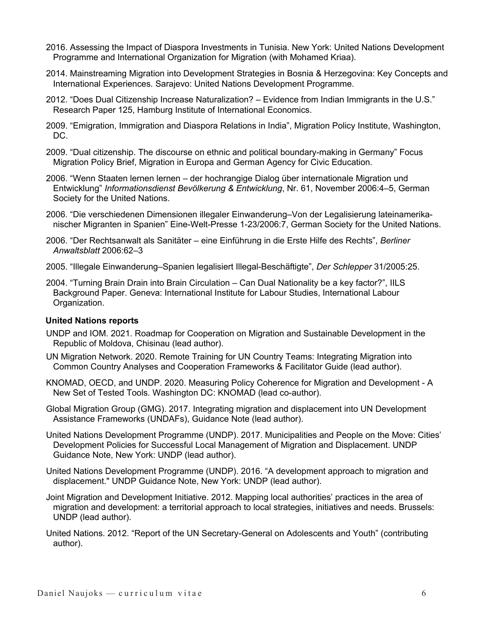- 2016. Assessing the Impact of Diaspora Investments in Tunisia. New York: United Nations Development Programme and International Organization for Migration (with Mohamed Kriaa).
- 2014. Mainstreaming Migration into Development Strategies in Bosnia & Herzegovina: Key Concepts and International Experiences. Sarajevo: United Nations Development Programme.
- 2012. "Does Dual Citizenship Increase Naturalization? Evidence from Indian Immigrants in the U.S." Research Paper 125, Hamburg Institute of International Economics.
- 2009. "Emigration, Immigration and Diaspora Relations in India", Migration Policy Institute, Washington, DC.
- 2009. "Dual citizenship. The discourse on ethnic and political boundary-making in Germany" Focus Migration Policy Brief, Migration in Europa and German Agency for Civic Education.
- 2006. "Wenn Staaten lernen lernen der hochrangige Dialog über internationale Migration und Entwicklung" *Informationsdienst Bevölkerung & Entwicklung*, Nr. 61, November 2006:4–5, German Society for the United Nations.
- 2006. "Die verschiedenen Dimensionen illegaler Einwanderung–Von der Legalisierung lateinamerikanischer Migranten in Spanien" Eine-Welt-Presse 1-23/2006:7, German Society for the United Nations.
- 2006. "Der Rechtsanwalt als Sanitäter eine Einführung in die Erste Hilfe des Rechts", *Berliner Anwaltsblatt* 2006:62–3
- 2005. "Illegale Einwanderung–Spanien legalisiert Illegal-Beschäftigte", *Der Schlepper* 31/2005:25.
- 2004. "Turning Brain Drain into Brain Circulation Can Dual Nationality be a key factor?", IILS Background Paper. Geneva: International Institute for Labour Studies, International Labour Organization.

# **United Nations reports**

- UNDP and IOM. 2021. Roadmap for Cooperation on Migration and Sustainable Development in the Republic of Moldova, Chisinau (lead author).
- UN Migration Network. 2020. Remote Training for UN Country Teams: Integrating Migration into Common Country Analyses and Cooperation Frameworks & Facilitator Guide (lead author).
- KNOMAD, OECD, and UNDP. 2020. Measuring Policy Coherence for Migration and Development A New Set of Tested Tools*.* Washington DC: KNOMAD (lead co-author).
- Global Migration Group (GMG). 2017. Integrating migration and displacement into UN Development Assistance Frameworks (UNDAFs), Guidance Note (lead author).
- United Nations Development Programme (UNDP). 2017. Municipalities and People on the Move: Cities' Development Policies for Successful Local Management of Migration and Displacement. UNDP Guidance Note, New York: UNDP (lead author).
- United Nations Development Programme (UNDP). 2016. "A development approach to migration and displacement." UNDP Guidance Note, New York: UNDP (lead author).
- Joint Migration and Development Initiative. 2012. Mapping local authorities' practices in the area of migration and development: a territorial approach to local strategies, initiatives and needs. Brussels: UNDP (lead author).
- United Nations. 2012. "Report of the UN Secretary-General on Adolescents and Youth" (contributing author).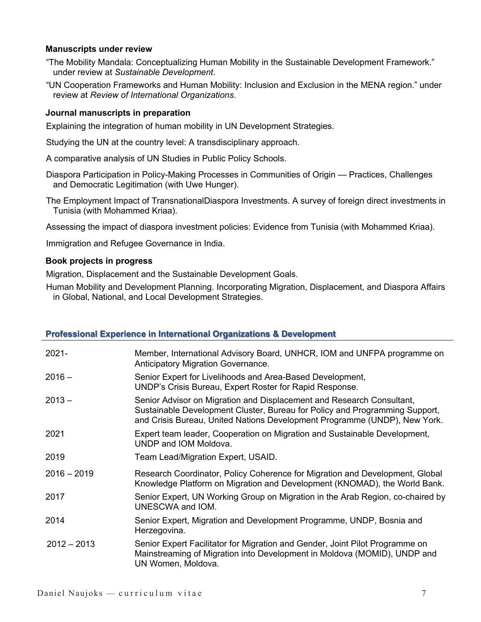#### **Manuscripts under review**

- "The Mobility Mandala: Conceptualizing Human Mobility in the Sustainable Development Framework." under review at *Sustainable Development*.
- "UN Cooperation Frameworks and Human Mobility: Inclusion and Exclusion in the MENA region." under review at *Review of International Organizations*.

#### **Journal manuscripts in preparation**

Explaining the integration of human mobility in UN Development Strategies.

Studying the UN at the country level: A transdisciplinary approach.

A comparative analysis of UN Studies in Public Policy Schools.

- Diaspora Participation in Policy-Making Processes in Communities of Origin Practices, Challenges and Democratic Legitimation (with Uwe Hunger).
- The Employment Impact of TransnationalDiaspora Investments. A survey of foreign direct investments in Tunisia (with Mohammed Kriaa).

Assessing the impact of diaspora investment policies: Evidence from Tunisia (with Mohammed Kriaa).

Immigration and Refugee Governance in India.

#### **Book projects in progress**

Migration, Displacement and the Sustainable Development Goals.

Human Mobility and Development Planning. Incorporating Migration, Displacement, and Diaspora Affairs in Global, National, and Local Development Strategies.

# **Professional Experience in International Organizations & Development**

| $2021 -$      | Member, International Advisory Board, UNHCR, IOM and UNFPA programme on<br>Anticipatory Migration Governance.                                                                                                                     |
|---------------|-----------------------------------------------------------------------------------------------------------------------------------------------------------------------------------------------------------------------------------|
| $2016 -$      | Senior Expert for Livelihoods and Area-Based Development,<br>UNDP's Crisis Bureau, Expert Roster for Rapid Response.                                                                                                              |
| $2013 -$      | Senior Advisor on Migration and Displacement and Research Consultant,<br>Sustainable Development Cluster, Bureau for Policy and Programming Support,<br>and Crisis Bureau, United Nations Development Programme (UNDP), New York. |
| 2021          | Expert team leader, Cooperation on Migration and Sustainable Development,<br>UNDP and IOM Moldova.                                                                                                                                |
| 2019          | Team Lead/Migration Expert, USAID.                                                                                                                                                                                                |
| $2016 - 2019$ | Research Coordinator, Policy Coherence for Migration and Development, Global<br>Knowledge Platform on Migration and Development (KNOMAD), the World Bank.                                                                         |
| 2017          | Senior Expert, UN Working Group on Migration in the Arab Region, co-chaired by<br>UNESCWA and IOM.                                                                                                                                |
| 2014          | Senior Expert, Migration and Development Programme, UNDP, Bosnia and<br>Herzegovina.                                                                                                                                              |
| $2012 - 2013$ | Senior Expert Facilitator for Migration and Gender, Joint Pilot Programme on<br>Mainstreaming of Migration into Development in Moldova (MOMID), UNDP and<br>UN Women, Moldova.                                                    |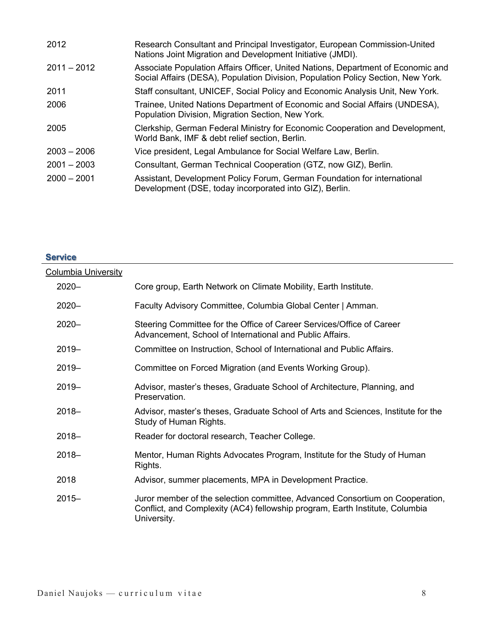| 2012          | Research Consultant and Principal Investigator, European Commission-United<br>Nations Joint Migration and Development Initiative (JMDI).                             |
|---------------|----------------------------------------------------------------------------------------------------------------------------------------------------------------------|
| $2011 - 2012$ | Associate Population Affairs Officer, United Nations, Department of Economic and<br>Social Affairs (DESA), Population Division, Population Policy Section, New York. |
| 2011          | Staff consultant, UNICEF, Social Policy and Economic Analysis Unit, New York.                                                                                        |
| 2006          | Trainee, United Nations Department of Economic and Social Affairs (UNDESA),<br>Population Division, Migration Section, New York.                                     |
| 2005          | Clerkship, German Federal Ministry for Economic Cooperation and Development,<br>World Bank, IMF & debt relief section, Berlin.                                       |
| $2003 - 2006$ | Vice president, Legal Ambulance for Social Welfare Law, Berlin.                                                                                                      |
| $2001 - 2003$ | Consultant, German Technical Cooperation (GTZ, now GIZ), Berlin.                                                                                                     |
| $2000 - 2001$ | Assistant, Development Policy Forum, German Foundation for international<br>Development (DSE, today incorporated into GIZ), Berlin.                                  |

# **Service**  Columbia University 2020– Core group, Earth Network on Climate Mobility, Earth Institute. 2020– Faculty Advisory Committee, Columbia Global Center | Amman. 2020– Steering Committee for the Office of Career Services/Office of Career Advancement, School of International and Public Affairs. 2019– Committee on Instruction, School of International and Public Affairs. 2019– Committee on Forced Migration (and Events Working Group). 2019– Advisor, master's theses, Graduate School of Architecture, Planning, and Preservation. 2018– Advisor, master's theses, Graduate School of Arts and Sciences, Institute for the Study of Human Rights. 2018– Reader for doctoral research, Teacher College. 2018– Mentor, Human Rights Advocates Program, Institute for the Study of Human Rights. 2018 Advisor, summer placements, MPA in Development Practice. 2015– Juror member of the selection committee, Advanced Consortium on Cooperation, Conflict, and Complexity (AC4) fellowship program, Earth Institute, Columbia University.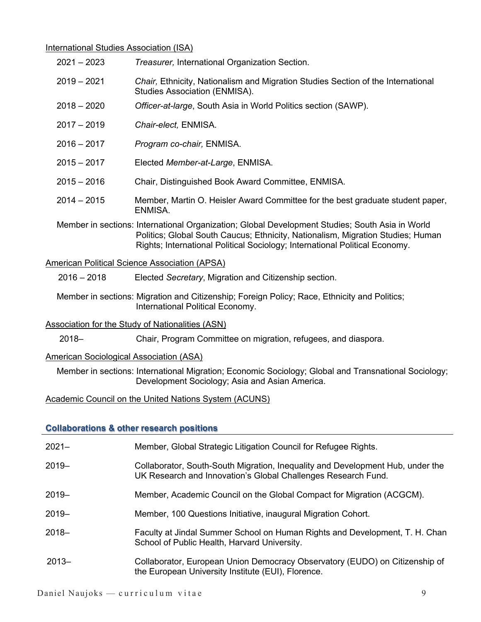#### International Studies Association (ISA)

- 2021 2023 *Treasurer,* International Organization Section.
- 2019 2021 *Chair,* Ethnicity, Nationalism and Migration Studies Section of the International Studies Association (ENMISA).
- 2018 2020 *Officer-at-large*, South Asia in World Politics section (SAWP).
- 2017 2019 *Chair-elect,* ENMISA.
- 2016 2017 *Program co-chair,* ENMISA.
- 2015 2017 Elected *Member-at-Large*, ENMISA.
- 2015 2016 Chair, Distinguished Book Award Committee, ENMISA.
- 2014 2015 Member, Martin O. Heisler Award Committee for the best graduate student paper, ENMISA.

Member in sections: International Organization; Global Development Studies; South Asia in World Politics; Global South Caucus; Ethnicity, Nationalism, Migration Studies; Human Rights; International Political Sociology; International Political Economy.

# American Political Science Association (APSA)

2016 – 2018 Elected *Secretary*, Migration and Citizenship section.

Member in sections: Migration and Citizenship; Foreign Policy; Race, Ethnicity and Politics; International Political Economy.

# Association for the Study of Nationalities (ASN)

2018– Chair, Program Committee on migration, refugees, and diaspora.

# American Sociological Association (ASA)

Member in sections: International Migration; Economic Sociology; Global and Transnational Sociology; Development Sociology; Asia and Asian America.

# Academic Council on the United Nations System (ACUNS)

# **Collaborations & other research positions**

| $2021 -$ | Member, Global Strategic Litigation Council for Refugee Rights.                                                                                 |
|----------|-------------------------------------------------------------------------------------------------------------------------------------------------|
| $2019 -$ | Collaborator, South-South Migration, Inequality and Development Hub, under the<br>UK Research and Innovation's Global Challenges Research Fund. |
| $2019 -$ | Member, Academic Council on the Global Compact for Migration (ACGCM).                                                                           |
| $2019 -$ | Member, 100 Questions Initiative, inaugural Migration Cohort.                                                                                   |
| $2018 -$ | Faculty at Jindal Summer School on Human Rights and Development, T. H. Chan<br>School of Public Health, Harvard University.                     |
| $2013 -$ | Collaborator, European Union Democracy Observatory (EUDO) on Citizenship of<br>the European University Institute (EUI), Florence.               |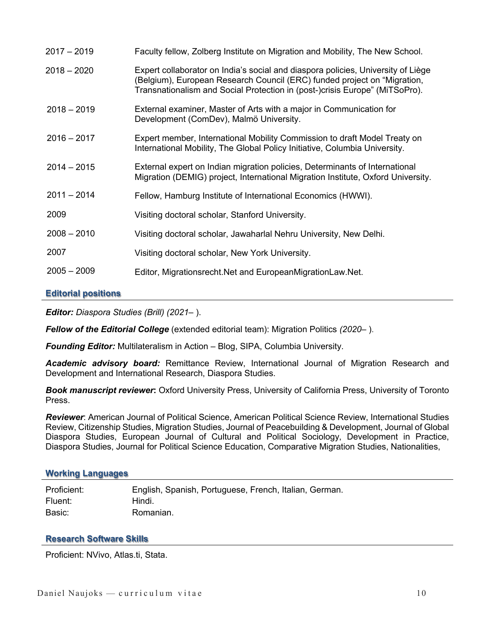| $2017 - 2019$ | Faculty fellow, Zolberg Institute on Migration and Mobility, The New School.                                                                                                                                                                |
|---------------|---------------------------------------------------------------------------------------------------------------------------------------------------------------------------------------------------------------------------------------------|
| $2018 - 2020$ | Expert collaborator on India's social and diaspora policies, University of Liège<br>(Belgium), European Research Council (ERC) funded project on "Migration,<br>Transnationalism and Social Protection in (post-)crisis Europe" (MiTSoPro). |
| $2018 - 2019$ | External examiner, Master of Arts with a major in Communication for<br>Development (ComDev), Malmö University.                                                                                                                              |
| $2016 - 2017$ | Expert member, International Mobility Commission to draft Model Treaty on<br>International Mobility, The Global Policy Initiative, Columbia University.                                                                                     |
| $2014 - 2015$ | External expert on Indian migration policies, Determinants of International<br>Migration (DEMIG) project, International Migration Institute, Oxford University.                                                                             |
| $2011 - 2014$ | Fellow, Hamburg Institute of International Economics (HWWI).                                                                                                                                                                                |
| 2009          | Visiting doctoral scholar, Stanford University.                                                                                                                                                                                             |
| $2008 - 2010$ | Visiting doctoral scholar, Jawaharlal Nehru University, New Delhi.                                                                                                                                                                          |
| 2007          | Visiting doctoral scholar, New York University.                                                                                                                                                                                             |
| $2005 - 2009$ | Editor, Migrationsrecht. Net and European Migration Law. Net.                                                                                                                                                                               |

# **Editorial positions**

*Editor: Diaspora Studies (Brill) (2021*– ).

*Fellow of the Editorial College* (extended editorial team): Migration Politics *(2020*– ).

*Founding Editor:* Multilateralism in Action – Blog, SIPA, Columbia University.

*Academic advisory board:* Remittance Review, International Journal of Migration Research and Development and International Research, Diaspora Studies.

*Book manuscript reviewer***:** Oxford University Press, University of California Press, University of Toronto Press.

*Reviewer*: American Journal of Political Science, American Political Science Review, International Studies Review, Citizenship Studies, Migration Studies, Journal of Peacebuilding & Development, Journal of Global Diaspora Studies, European Journal of Cultural and Political Sociology, Development in Practice, Diaspora Studies, Journal for Political Science Education, Comparative Migration Studies, Nationalities,

#### **Working Languages**

| Proficient: | English, Spanish, Portuguese, French, Italian, German. |
|-------------|--------------------------------------------------------|
| Fluent:     | Hindi.                                                 |
| Basic:      | Romanian.                                              |

# **Research Software Skills**

Proficient: NVivo, Atlas.ti, Stata.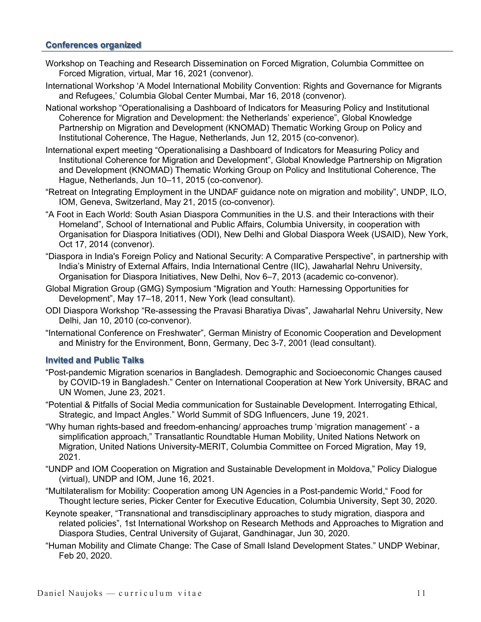#### **Conferences organized**

- Workshop on Teaching and Research Dissemination on Forced Migration, Columbia Committee on Forced Migration, virtual, Mar 16, 2021 (convenor).
- International Workshop 'A Model International Mobility Convention: Rights and Governance for Migrants and Refugees,' Columbia Global Center Mumbai, Mar 16, 2018 (convenor).
- National workshop "Operationalising a Dashboard of Indicators for Measuring Policy and Institutional Coherence for Migration and Development: the Netherlands' experience", Global Knowledge Partnership on Migration and Development (KNOMAD) Thematic Working Group on Policy and Institutional Coherence, The Hague, Netherlands, Jun 12, 2015 (co-convenor).
- International expert meeting "Operationalising a Dashboard of Indicators for Measuring Policy and Institutional Coherence for Migration and Development", Global Knowledge Partnership on Migration and Development (KNOMAD) Thematic Working Group on Policy and Institutional Coherence, The Hague, Netherlands, Jun 10–11, 2015 (co-convenor).
- "Retreat on Integrating Employment in the UNDAF guidance note on migration and mobility", UNDP, ILO, IOM, Geneva, Switzerland, May 21, 2015 (co-convenor).
- "A Foot in Each World: South Asian Diaspora Communities in the U.S. and their Interactions with their Homeland", School of International and Public Affairs, Columbia University, in cooperation with Organisation for Diaspora Initiatives (ODI), New Delhi and Global Diaspora Week (USAID), New York, Oct 17, 2014 (convenor).
- "Diaspora in India's Foreign Policy and National Security: A Comparative Perspective", in partnership with India's Ministry of External Affairs, India International Centre (IIC), Jawaharlal Nehru University, Organisation for Diaspora Initiatives, New Delhi, Nov 6–7, 2013 (academic co-convenor).
- Global Migration Group (GMG) Symposium "Migration and Youth: Harnessing Opportunities for Development", May 17–18, 2011, New York (lead consultant).
- ODI Diaspora Workshop "Re-assessing the Pravasi Bharatiya Divas", Jawaharlal Nehru University, New Delhi, Jan 10, 2010 (co-convenor).
- "International Conference on Freshwater", German Ministry of Economic Cooperation and Development and Ministry for the Environment, Bonn, Germany, Dec 3-7, 2001 (lead consultant).

#### **Invited and Public Talks**

- "Post-pandemic Migration scenarios in Bangladesh. Demographic and Socioeconomic Changes caused by COVID-19 in Bangladesh." Center on International Cooperation at New York University, BRAC and UN Women, June 23, 2021.
- "Potential & Pitfalls of Social Media communication for Sustainable Development. Interrogating Ethical, Strategic, and Impact Angles." World Summit of SDG Influencers, June 19, 2021.
- "Why human rights-based and freedom-enhancing/ approaches trump 'migration management' a simplification approach," Transatlantic Roundtable Human Mobility, United Nations Network on Migration, United Nations University-MERIT, Columbia Committee on Forced Migration, May 19, 2021.
- "UNDP and IOM Cooperation on Migration and Sustainable Development in Moldova," Policy Dialogue (virtual), UNDP and IOM, June 16, 2021.
- "Multilateralism for Mobility: Cooperation among UN Agencies in a Post-pandemic World," Food for Thought lecture series, Picker Center for Executive Education, Columbia University, Sept 30, 2020.
- Keynote speaker, "Transnational and transdisciplinary approaches to study migration, diaspora and related policies", 1st International Workshop on Research Methods and Approaches to Migration and Diaspora Studies, Central University of Gujarat, Gandhinagar, Jun 30, 2020.
- "Human Mobility and Climate Change: The Case of Small Island Development States." UNDP Webinar, Feb 20, 2020.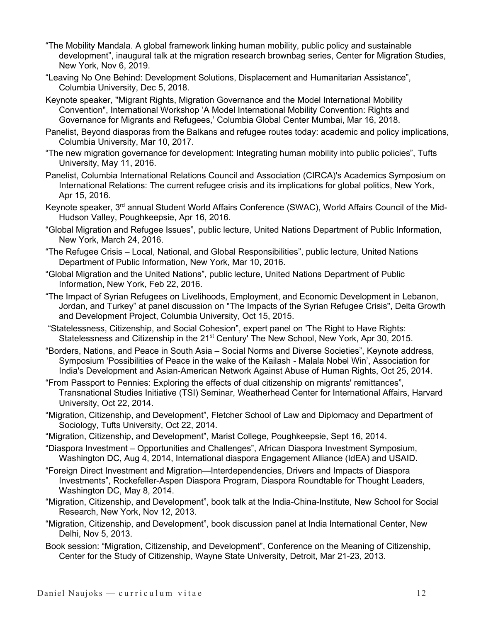- "The Mobility Mandala. A global framework linking human mobility, public policy and sustainable development", inaugural talk at the migration research brownbag series, Center for Migration Studies, New York, Nov 6, 2019.
- "Leaving No One Behind: Development Solutions, Displacement and Humanitarian Assistance", Columbia University, Dec 5, 2018.
- Keynote speaker, "Migrant Rights, Migration Governance and the Model International Mobility Convention", International Workshop 'A Model International Mobility Convention: Rights and Governance for Migrants and Refugees,' Columbia Global Center Mumbai, Mar 16, 2018.
- Panelist, Beyond diasporas from the Balkans and refugee routes today: academic and policy implications, Columbia University, Mar 10, 2017.
- "The new migration governance for development: Integrating human mobility into public policies", Tufts University, May 11, 2016.
- Panelist, Columbia International Relations Council and Association (CIRCA)'s Academics Symposium on International Relations: The current refugee crisis and its implications for global politics, New York, Apr 15, 2016.
- Keynote speaker, 3<sup>rd</sup> annual Student World Affairs Conference (SWAC), World Affairs Council of the Mid-Hudson Valley, Poughkeepsie, Apr 16, 2016.
- "Global Migration and Refugee Issues", public lecture, United Nations Department of Public Information, New York, March 24, 2016.
- "The Refugee Crisis Local, National, and Global Responsibilities", public lecture, United Nations Department of Public Information, New York, Mar 10, 2016.
- "Global Migration and the United Nations", public lecture, United Nations Department of Public Information, New York, Feb 22, 2016.
- "The Impact of Syrian Refugees on Livelihoods, Employment, and Economic Development in Lebanon, Jordan, and Turkey" at panel discussion on "The Impacts of the Syrian Refugee Crisis", Delta Growth and Development Project, Columbia University, Oct 15, 2015.
- "Statelessness, Citizenship, and Social Cohesion", expert panel on 'The Right to Have Rights: Statelessness and Citizenship in the 21<sup>st</sup> Century' The New School, New York, Apr 30, 2015.
- "Borders, Nations, and Peace in South Asia Social Norms and Diverse Societies", Keynote address, Symposium 'Possibilities of Peace in the wake of the Kailash - Malala Nobel Win', Association for India's Development and Asian-American Network Against Abuse of Human Rights, Oct 25, 2014.
- "From Passport to Pennies: Exploring the effects of dual citizenship on migrants' remittances", Transnational Studies Initiative (TSI) Seminar, Weatherhead Center for International Affairs, Harvard University, Oct 22, 2014.
- "Migration, Citizenship, and Development", Fletcher School of Law and Diplomacy and Department of Sociology, Tufts University, Oct 22, 2014.
- "Migration, Citizenship, and Development", Marist College, Poughkeepsie, Sept 16, 2014.
- "Diaspora Investment Opportunities and Challenges", African Diaspora Investment Symposium, Washington DC, Aug 4, 2014, International diaspora Engagement Alliance (IdEA) and USAID.
- "Foreign Direct Investment and Migration—Interdependencies, Drivers and Impacts of Diaspora Investments", Rockefeller-Aspen Diaspora Program, Diaspora Roundtable for Thought Leaders, Washington DC, May 8, 2014.
- "Migration, Citizenship, and Development", book talk at the India-China-Institute, New School for Social Research, New York, Nov 12, 2013.
- "Migration, Citizenship, and Development", book discussion panel at India International Center, New Delhi, Nov 5, 2013.
- Book session: "Migration, Citizenship, and Development", Conference on the Meaning of Citizenship, Center for the Study of Citizenship, Wayne State University, Detroit, Mar 21-23, 2013.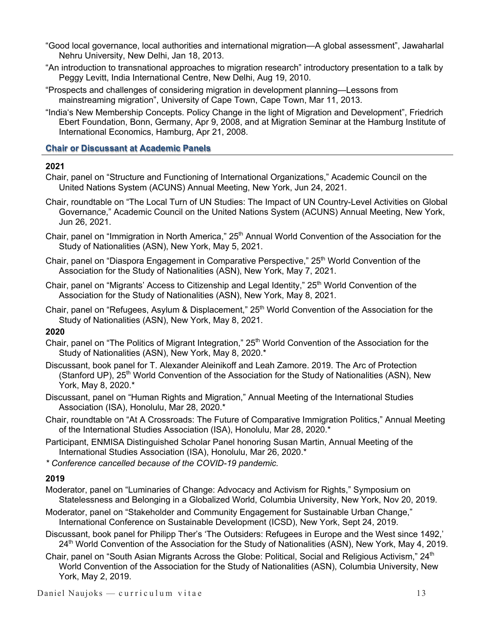- "Good local governance, local authorities and international migration—A global assessment", Jawaharlal Nehru University, New Delhi, Jan 18, 2013.
- "An introduction to transnational approaches to migration research" introductory presentation to a talk by Peggy Levitt, India International Centre, New Delhi, Aug 19, 2010.
- "Prospects and challenges of considering migration in development planning—Lessons from mainstreaming migration", University of Cape Town, Cape Town, Mar 11, 2013.
- "India's New Membership Concepts. Policy Change in the light of Migration and Development", Friedrich Ebert Foundation, Bonn, Germany, Apr 9, 2008, and at Migration Seminar at the Hamburg Institute of International Economics, Hamburg, Apr 21, 2008.

#### **Chair or Discussant at Academic Panels**

#### **2021**

- Chair, panel on "Structure and Functioning of International Organizations," Academic Council on the United Nations System (ACUNS) Annual Meeting, New York, Jun 24, 2021.
- Chair, roundtable on "The Local Turn of UN Studies: The Impact of UN Country-Level Activities on Global Governance," Academic Council on the United Nations System (ACUNS) Annual Meeting, New York, Jun 26, 2021.
- Chair, panel on "Immigration in North America," 25<sup>th</sup> Annual World Convention of the Association for the Study of Nationalities (ASN), New York, May 5, 2021.
- Chair, panel on "Diaspora Engagement in Comparative Perspective," 25<sup>th</sup> World Convention of the Association for the Study of Nationalities (ASN), New York, May 7, 2021.
- Chair, panel on "Migrants' Access to Citizenship and Legal Identity," 25<sup>th</sup> World Convention of the Association for the Study of Nationalities (ASN), New York, May 8, 2021.
- Chair, panel on "Refugees, Asylum & Displacement," 25<sup>th</sup> World Convention of the Association for the Study of Nationalities (ASN), New York, May 8, 2021.

# **2020**

- Chair, panel on "The Politics of Migrant Integration," 25<sup>th</sup> World Convention of the Association for the Study of Nationalities (ASN), New York, May 8, 2020.\*
- Discussant, book panel for T. Alexander Aleinikoff and Leah Zamore. 2019. The Arc of Protection (Stanford UP), 25<sup>th</sup> World Convention of the Association for the Study of Nationalities (ASN), New York, May 8, 2020.\*
- Discussant, panel on "Human Rights and Migration," Annual Meeting of the International Studies Association (ISA), Honolulu, Mar 28, 2020.\*
- Chair, roundtable on "At A Crossroads: The Future of Comparative Immigration Politics," Annual Meeting of the International Studies Association (ISA), Honolulu, Mar 28, 2020.\*
- Participant, ENMISA Distinguished Scholar Panel honoring Susan Martin, Annual Meeting of the International Studies Association (ISA), Honolulu, Mar 26, 2020.\*
- *\* Conference cancelled because of the COVID-19 pandemic.*

- Moderator, panel on "Luminaries of Change: Advocacy and Activism for Rights," Symposium on Statelessness and Belonging in a Globalized World, Columbia University, New York, Nov 20, 2019.
- Moderator, panel on "Stakeholder and Community Engagement for Sustainable Urban Change," International Conference on Sustainable Development (ICSD), New York, Sept 24, 2019.
- Discussant, book panel for Philipp Ther's 'The Outsiders: Refugees in Europe and the West since 1492,' 24<sup>th</sup> World Convention of the Association for the Study of Nationalities (ASN), New York, May 4, 2019.
- Chair, panel on "South Asian Migrants Across the Globe: Political, Social and Religious Activism," 24<sup>th</sup> World Convention of the Association for the Study of Nationalities (ASN), Columbia University, New York, May 2, 2019.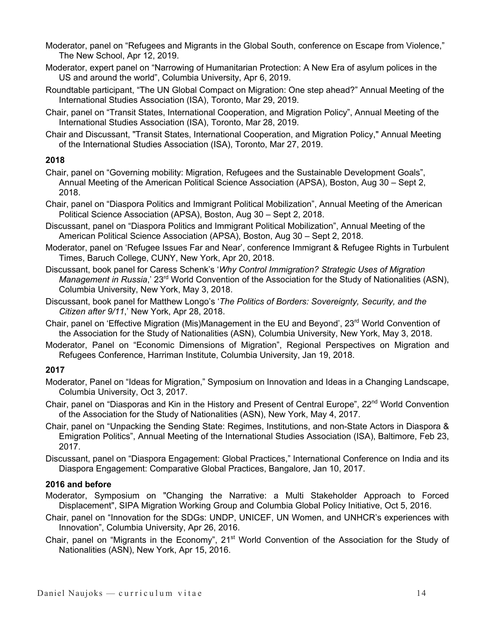- Moderator, panel on "Refugees and Migrants in the Global South, conference on Escape from Violence," The New School, Apr 12, 2019.
- Moderator, expert panel on "Narrowing of Humanitarian Protection: A New Era of asylum polices in the US and around the world", Columbia University, Apr 6, 2019.
- Roundtable participant, "The UN Global Compact on Migration: One step ahead?" Annual Meeting of the International Studies Association (ISA), Toronto, Mar 29, 2019.
- Chair, panel on "Transit States, International Cooperation, and Migration Policy", Annual Meeting of the International Studies Association (ISA), Toronto, Mar 28, 2019.
- Chair and Discussant, "Transit States, International Cooperation, and Migration Policy," Annual Meeting of the International Studies Association (ISA), Toronto, Mar 27, 2019.

# **2018**

- Chair, panel on "Governing mobility: Migration, Refugees and the Sustainable Development Goals", Annual Meeting of the American Political Science Association (APSA), Boston, Aug 30 – Sept 2, 2018.
- Chair, panel on "Diaspora Politics and Immigrant Political Mobilization", Annual Meeting of the American Political Science Association (APSA), Boston, Aug 30 – Sept 2, 2018.
- Discussant, panel on "Diaspora Politics and Immigrant Political Mobilization", Annual Meeting of the American Political Science Association (APSA), Boston, Aug 30 – Sept 2, 2018.
- Moderator, panel on 'Refugee Issues Far and Near', conference Immigrant & Refugee Rights in Turbulent Times, Baruch College, CUNY, New York, Apr 20, 2018.
- Discussant, book panel for Caress Schenk's '*Why Control Immigration? Strategic Uses of Migration Management in Russia*,' 23<sup>rd</sup> World Convention of the Association for the Study of Nationalities (ASN), Columbia University, New York, May 3, 2018.
- Discussant, book panel for Matthew Longo's '*The Politics of Borders: Sovereignty, Security, and the Citizen after 9/11*,' New York, Apr 28, 2018.
- Chair, panel on 'Effective Migration (Mis)Management in the EU and Beyond', 23<sup>rd</sup> World Convention of the Association for the Study of Nationalities (ASN), Columbia University, New York, May 3, 2018.
- Moderator, Panel on "Economic Dimensions of Migration", Regional Perspectives on Migration and Refugees Conference, Harriman Institute, Columbia University, Jan 19, 2018.

# **2017**

- Moderator, Panel on "Ideas for Migration," Symposium on Innovation and Ideas in a Changing Landscape, Columbia University, Oct 3, 2017.
- Chair, panel on "Diasporas and Kin in the History and Present of Central Europe", 22<sup>nd</sup> World Convention of the Association for the Study of Nationalities (ASN), New York, May 4, 2017.
- Chair, panel on "Unpacking the Sending State: Regimes, Institutions, and non-State Actors in Diaspora & Emigration Politics", Annual Meeting of the International Studies Association (ISA), Baltimore, Feb 23, 2017.

Discussant, panel on "Diaspora Engagement: Global Practices," International Conference on India and its Diaspora Engagement: Comparative Global Practices, Bangalore, Jan 10, 2017.

# **2016 and before**

- Moderator, Symposium on "Changing the Narrative: a Multi Stakeholder Approach to Forced Displacement", SIPA Migration Working Group and Columbia Global Policy Initiative, Oct 5, 2016.
- Chair, panel on "Innovation for the SDGs: UNDP, UNICEF, UN Women, and UNHCR's experiences with Innovation", Columbia University, Apr 26, 2016.
- Chair, panel on "Migrants in the Economy", 21<sup>st</sup> World Convention of the Association for the Study of Nationalities (ASN), New York, Apr 15, 2016.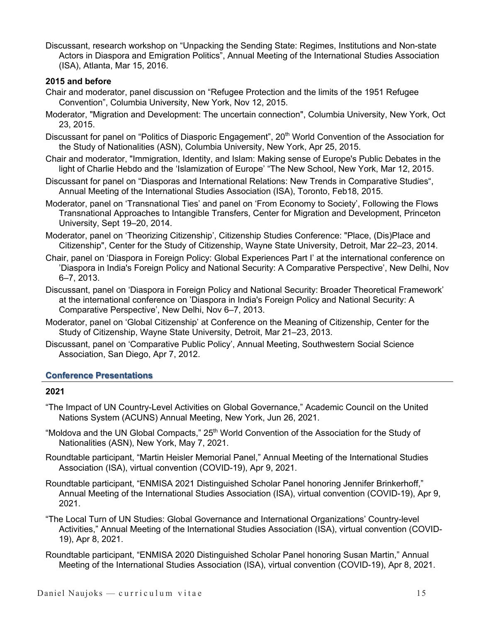Discussant, research workshop on "Unpacking the Sending State: Regimes, Institutions and Non-state Actors in Diaspora and Emigration Politics", Annual Meeting of the International Studies Association (ISA), Atlanta, Mar 15, 2016.

# **2015 and before**

- Chair and moderator, panel discussion on "Refugee Protection and the limits of the 1951 Refugee Convention", Columbia University, New York, Nov 12, 2015.
- Moderator, "Migration and Development: The uncertain connection", Columbia University, New York, Oct 23, 2015.
- Discussant for panel on "Politics of Diasporic Engagement", 20<sup>th</sup> World Convention of the Association for the Study of Nationalities (ASN), Columbia University, New York, Apr 25, 2015.
- Chair and moderator, "Immigration, Identity, and Islam: Making sense of Europe's Public Debates in the light of Charlie Hebdo and the 'Islamization of Europe' "The New School, New York, Mar 12, 2015.
- Discussant for panel on "Diasporas and International Relations: New Trends in Comparative Studies", Annual Meeting of the International Studies Association (ISA), Toronto, Feb18, 2015.
- Moderator, panel on 'Transnational Ties' and panel on 'From Economy to Society', Following the Flows Transnational Approaches to Intangible Transfers, Center for Migration and Development, Princeton University, Sept 19–20, 2014.
- Moderator, panel on 'Theorizing Citizenship', Citizenship Studies Conference: "Place, (Dis)Place and Citizenship", Center for the Study of Citizenship, Wayne State University, Detroit, Mar 22–23, 2014.
- Chair, panel on 'Diaspora in Foreign Policy: Global Experiences Part I' at the international conference on 'Diaspora in India's Foreign Policy and National Security: A Comparative Perspective', New Delhi, Nov 6–7, 2013.
- Discussant, panel on 'Diaspora in Foreign Policy and National Security: Broader Theoretical Framework' at the international conference on 'Diaspora in India's Foreign Policy and National Security: A Comparative Perspective', New Delhi, Nov 6–7, 2013.
- Moderator, panel on 'Global Citizenship' at Conference on the Meaning of Citizenship, Center for the Study of Citizenship, Wayne State University, Detroit, Mar 21–23, 2013.
- Discussant, panel on 'Comparative Public Policy', Annual Meeting, Southwestern Social Science Association, San Diego, Apr 7, 2012.

# **Conference Presentations**

- "The Impact of UN Country-Level Activities on Global Governance," Academic Council on the United Nations System (ACUNS) Annual Meeting, New York, Jun 26, 2021.
- "Moldova and the UN Global Compacts," 25<sup>th</sup> World Convention of the Association for the Study of Nationalities (ASN), New York, May 7, 2021.
- Roundtable participant, "Martin Heisler Memorial Panel," Annual Meeting of the International Studies Association (ISA), virtual convention (COVID-19), Apr 9, 2021.
- Roundtable participant, "ENMISA 2021 Distinguished Scholar Panel honoring Jennifer Brinkerhoff," Annual Meeting of the International Studies Association (ISA), virtual convention (COVID-19), Apr 9, 2021.
- "The Local Turn of UN Studies: Global Governance and International Organizations' Country-level Activities," Annual Meeting of the International Studies Association (ISA), virtual convention (COVID-19), Apr 8, 2021.
- Roundtable participant, "ENMISA 2020 Distinguished Scholar Panel honoring Susan Martin," Annual Meeting of the International Studies Association (ISA), virtual convention (COVID-19), Apr 8, 2021.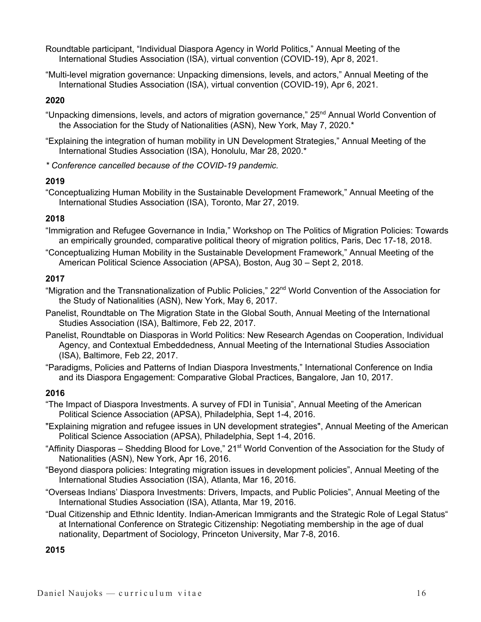Roundtable participant, "Individual Diaspora Agency in World Politics," Annual Meeting of the International Studies Association (ISA), virtual convention (COVID-19), Apr 8, 2021.

"Multi-level migration governance: Unpacking dimensions, levels, and actors," Annual Meeting of the International Studies Association (ISA), virtual convention (COVID-19), Apr 6, 2021.

# **2020**

"Unpacking dimensions, levels, and actors of migration governance," 25<sup>nd</sup> Annual World Convention of the Association for the Study of Nationalities (ASN), New York, May 7, 2020.\*

"Explaining the integration of human mobility in UN Development Strategies," Annual Meeting of the International Studies Association (ISA), Honolulu, Mar 28, 2020.\*

*\* Conference cancelled because of the COVID-19 pandemic.*

# **2019**

"Conceptualizing Human Mobility in the Sustainable Development Framework," Annual Meeting of the International Studies Association (ISA), Toronto, Mar 27, 2019.

# **2018**

"Immigration and Refugee Governance in India," Workshop on The Politics of Migration Policies: Towards an empirically grounded, comparative political theory of migration politics, Paris, Dec 17-18, 2018.

"Conceptualizing Human Mobility in the Sustainable Development Framework," Annual Meeting of the American Political Science Association (APSA), Boston, Aug 30 – Sept 2, 2018.

#### **2017**

"Migration and the Transnationalization of Public Policies," 22<sup>nd</sup> World Convention of the Association for the Study of Nationalities (ASN), New York, May 6, 2017.

- Panelist, Roundtable on The Migration State in the Global South, Annual Meeting of the International Studies Association (ISA), Baltimore, Feb 22, 2017.
- Panelist, Roundtable on Diasporas in World Politics: New Research Agendas on Cooperation, Individual Agency, and Contextual Embeddedness, Annual Meeting of the International Studies Association (ISA), Baltimore, Feb 22, 2017.

"Paradigms, Policies and Patterns of Indian Diaspora Investments," International Conference on India and its Diaspora Engagement: Comparative Global Practices, Bangalore, Jan 10, 2017.

# **2016**

- "The Impact of Diaspora Investments. A survey of FDI in Tunisia", Annual Meeting of the American Political Science Association (APSA), Philadelphia, Sept 1-4, 2016.
- "Explaining migration and refugee issues in UN development strategies", Annual Meeting of the American Political Science Association (APSA), Philadelphia, Sept 1-4, 2016.
- "Affinity Diasporas Shedding Blood for Love," 21<sup>st</sup> World Convention of the Association for the Study of Nationalities (ASN), New York, Apr 16, 2016.
- "Beyond diaspora policies: Integrating migration issues in development policies", Annual Meeting of the International Studies Association (ISA), Atlanta, Mar 16, 2016.
- "Overseas Indians' Diaspora Investments: Drivers, Impacts, and Public Policies", Annual Meeting of the International Studies Association (ISA), Atlanta, Mar 19, 2016.
- "Dual Citizenship and Ethnic Identity. Indian-American Immigrants and the Strategic Role of Legal Status" at International Conference on Strategic Citizenship: Negotiating membership in the age of dual nationality, Department of Sociology, Princeton University, Mar 7-8, 2016.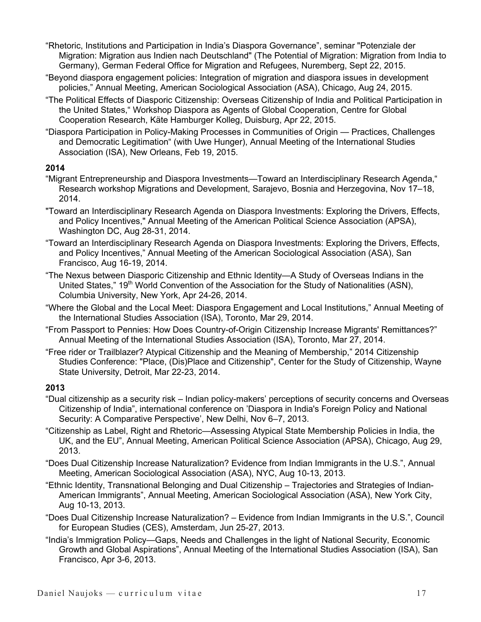- "Rhetoric, Institutions and Participation in India's Diaspora Governance", seminar "Potenziale der Migration: Migration aus Indien nach Deutschland" (The Potential of Migration: Migration from India to Germany), German Federal Office for Migration and Refugees, Nuremberg, Sept 22, 2015.
- "Beyond diaspora engagement policies: Integration of migration and diaspora issues in development policies," Annual Meeting, American Sociological Association (ASA), Chicago, Aug 24, 2015.
- "The Political Effects of Diasporic Citizenship: Overseas Citizenship of India and Political Participation in the United States," Workshop Diaspora as Agents of Global Cooperation, Centre for Global Cooperation Research, Käte Hamburger Kolleg, Duisburg, Apr 22, 2015.
- "Diaspora Participation in Policy-Making Processes in Communities of Origin Practices, Challenges and Democratic Legitimation" (with Uwe Hunger), Annual Meeting of the International Studies Association (ISA), New Orleans, Feb 19, 2015.

# **2014**

- "Migrant Entrepreneurship and Diaspora Investments—Toward an Interdisciplinary Research Agenda," Research workshop Migrations and Development, Sarajevo, Bosnia and Herzegovina, Nov 17–18, 2014.
- "Toward an Interdisciplinary Research Agenda on Diaspora Investments: Exploring the Drivers, Effects, and Policy Incentives," Annual Meeting of the American Political Science Association (APSA), Washington DC, Aug 28-31, 2014.
- "Toward an Interdisciplinary Research Agenda on Diaspora Investments: Exploring the Drivers, Effects, and Policy Incentives," Annual Meeting of the American Sociological Association (ASA), San Francisco, Aug 16-19, 2014.
- "The Nexus between Diasporic Citizenship and Ethnic Identity—A Study of Overseas Indians in the United States," 19<sup>th</sup> World Convention of the Association for the Study of Nationalities (ASN), Columbia University, New York, Apr 24-26, 2014.
- "Where the Global and the Local Meet: Diaspora Engagement and Local Institutions," Annual Meeting of the International Studies Association (ISA), Toronto, Mar 29, 2014.
- "From Passport to Pennies: How Does Country-of-Origin Citizenship Increase Migrants' Remittances?" Annual Meeting of the International Studies Association (ISA), Toronto, Mar 27, 2014.
- "Free rider or Trailblazer? Atypical Citizenship and the Meaning of Membership," 2014 Citizenship Studies Conference: "Place, (Dis)Place and Citizenship", Center for the Study of Citizenship, Wayne State University, Detroit, Mar 22-23, 2014.

- "Dual citizenship as a security risk Indian policy-makers' perceptions of security concerns and Overseas Citizenship of India", international conference on 'Diaspora in India's Foreign Policy and National Security: A Comparative Perspective', New Delhi, Nov 6–7, 2013.
- "Citizenship as Label, Right and Rhetoric—Assessing Atypical State Membership Policies in India, the UK, and the EU", Annual Meeting, American Political Science Association (APSA), Chicago, Aug 29, 2013.
- "Does Dual Citizenship Increase Naturalization? Evidence from Indian Immigrants in the U.S.", Annual Meeting, American Sociological Association (ASA), NYC, Aug 10-13, 2013.
- "Ethnic Identity, Transnational Belonging and Dual Citizenship Trajectories and Strategies of Indian-American Immigrants", Annual Meeting, American Sociological Association (ASA), New York City, Aug 10-13, 2013.
- "Does Dual Citizenship Increase Naturalization? Evidence from Indian Immigrants in the U.S.", Council for European Studies (CES), Amsterdam, Jun 25-27, 2013.
- "India's Immigration Policy—Gaps, Needs and Challenges in the light of National Security, Economic Growth and Global Aspirations", Annual Meeting of the International Studies Association (ISA), San Francisco, Apr 3-6, 2013.